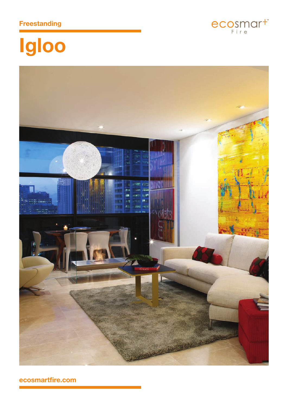## **Freestanding**



# Igloo



ecosmartfire.com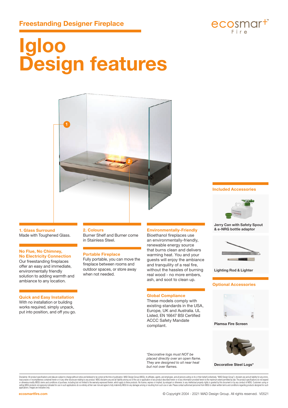

## **Igloo Design features**



### **1. Glass Surround**

Made with Toughened Glass.

#### **No Flue, No Chimney, No Electricity Connection**

Our freestanding fireplaces offer an easy and immediate, environmentally friendly solution to adding warmth and ambiance to any location.

### **Quick and Easy Installation**

With no installation or building works required, simply unpack, put into position, and off you go.

#### **2. Colours**

Burner Shelf and Burner come in Stainless Steel.

#### **Portable Fireplace**

Fully portable, you can move the fireplace between rooms and outdoor spaces, or store away when not needed.

#### **Environmentally-Friendly**

Bioethanol fireplaces use an environmentally-friendly, renewable energy source that burns clean and delivers warming heat. You and your guests will enjoy the ambiance and tranquility of a real fire, without the hassles of burning real wood - no more embers, ash, and soot to clean up.

#### **Global Compliance**

These models comply with existing standards in the USA, Europe, UK and Australia. UL Listed, EN 16647 BSI Certified ACCC Safety Mandate compliant.

*\*Decorative logs must NOT be placed directly over an open flame. They are designed to sit near heat but not over flames.*

**Included Accessories**



**Jerry Can with Safety Spout & e-NRG bottle adaptor**



**Lighting Rod & Lighter**

#### **Optional Accessories**



**Plamsa Fire Screen**



**Decorative Steel Logs\***

Disclaimer. All product specifications and data are subject to change without notice and believed to be correct at the time of publication. MAD Design Group (MDG), its affiliales, agents, and employees, and all persons act iraccuracies or incompletenes contained herein or any other disclosure relating to any noduct. MDG disclaims any and all liablity arising out of the use or application dany product described herein or dany information prov applications. Images are indicative only.